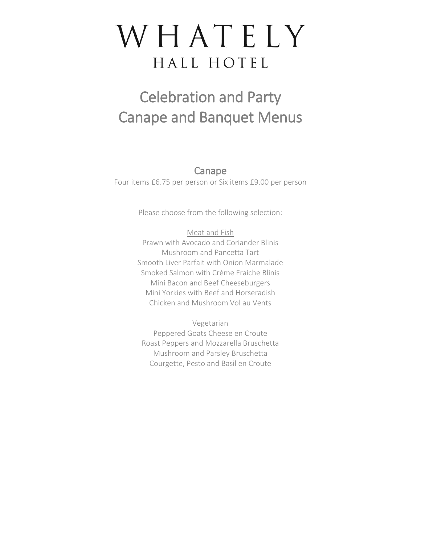## WHATELY HALL HOTEL

## Celebration and Party Canape and Banquet Menus

Canape

Four items £6.75 per person or Six items £9.00 per person

Please choose from the following selection:

Meat and Fish Prawn with Avocado and Coriander Blinis Mushroom and Pancetta Tart Smooth Liver Parfait with Onion Marmalade Smoked Salmon with Crème Fraiche Blinis Mini Bacon and Beef Cheeseburgers Mini Yorkies with Beef and Horseradish Chicken and Mushroom Vol au Vents

Vegetarian Peppered Goats Cheese en Croute Roast Peppers and Mozzarella Bruschetta Mushroom and Parsley Bruschetta Courgette, Pesto and Basil en Croute